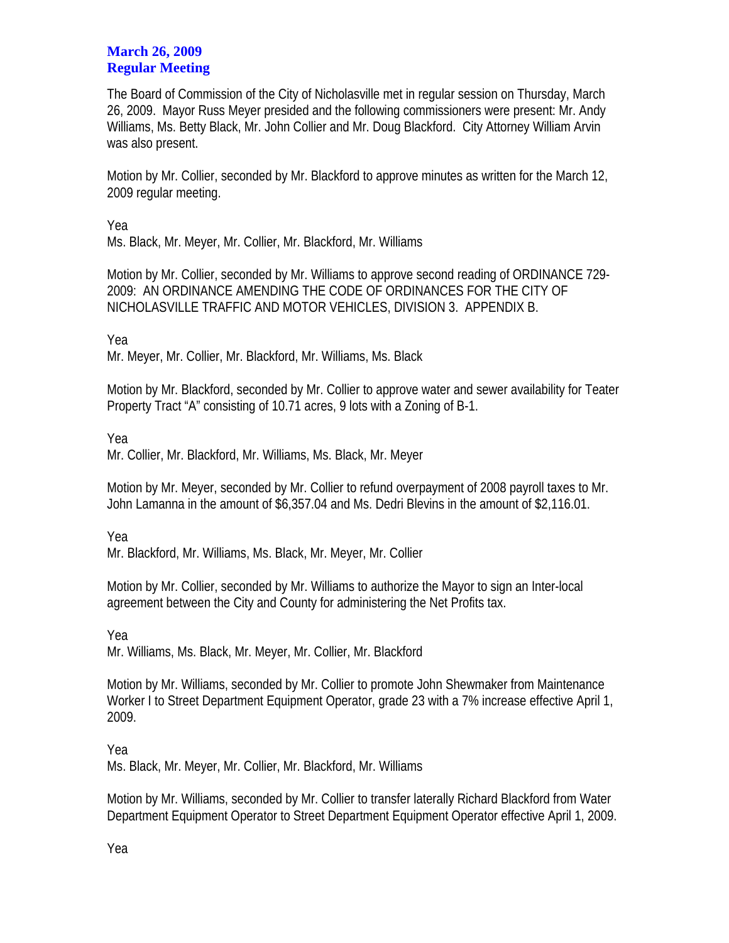## **March 26, 2009 Regular Meeting**

The Board of Commission of the City of Nicholasville met in regular session on Thursday, March 26, 2009. Mayor Russ Meyer presided and the following commissioners were present: Mr. Andy Williams, Ms. Betty Black, Mr. John Collier and Mr. Doug Blackford. City Attorney William Arvin was also present.

Motion by Mr. Collier, seconded by Mr. Blackford to approve minutes as written for the March 12, 2009 regular meeting.

Yea

Ms. Black, Mr. Meyer, Mr. Collier, Mr. Blackford, Mr. Williams

Motion by Mr. Collier, seconded by Mr. Williams to approve second reading of ORDINANCE 729- 2009: AN ORDINANCE AMENDING THE CODE OF ORDINANCES FOR THE CITY OF NICHOLASVILLE TRAFFIC AND MOTOR VEHICLES, DIVISION 3. APPENDIX B.

Yea

Mr. Meyer, Mr. Collier, Mr. Blackford, Mr. Williams, Ms. Black

Motion by Mr. Blackford, seconded by Mr. Collier to approve water and sewer availability for Teater Property Tract "A" consisting of 10.71 acres, 9 lots with a Zoning of B-1.

Yea

Mr. Collier, Mr. Blackford, Mr. Williams, Ms. Black, Mr. Meyer

Motion by Mr. Meyer, seconded by Mr. Collier to refund overpayment of 2008 payroll taxes to Mr. John Lamanna in the amount of \$6,357.04 and Ms. Dedri Blevins in the amount of \$2,116.01.

Yea

Mr. Blackford, Mr. Williams, Ms. Black, Mr. Meyer, Mr. Collier

Motion by Mr. Collier, seconded by Mr. Williams to authorize the Mayor to sign an Inter-local agreement between the City and County for administering the Net Profits tax.

Yea Mr. Williams, Ms. Black, Mr. Meyer, Mr. Collier, Mr. Blackford

Motion by Mr. Williams, seconded by Mr. Collier to promote John Shewmaker from Maintenance Worker I to Street Department Equipment Operator, grade 23 with a 7% increase effective April 1, 2009.

Yea

Ms. Black, Mr. Meyer, Mr. Collier, Mr. Blackford, Mr. Williams

Motion by Mr. Williams, seconded by Mr. Collier to transfer laterally Richard Blackford from Water Department Equipment Operator to Street Department Equipment Operator effective April 1, 2009.

Yea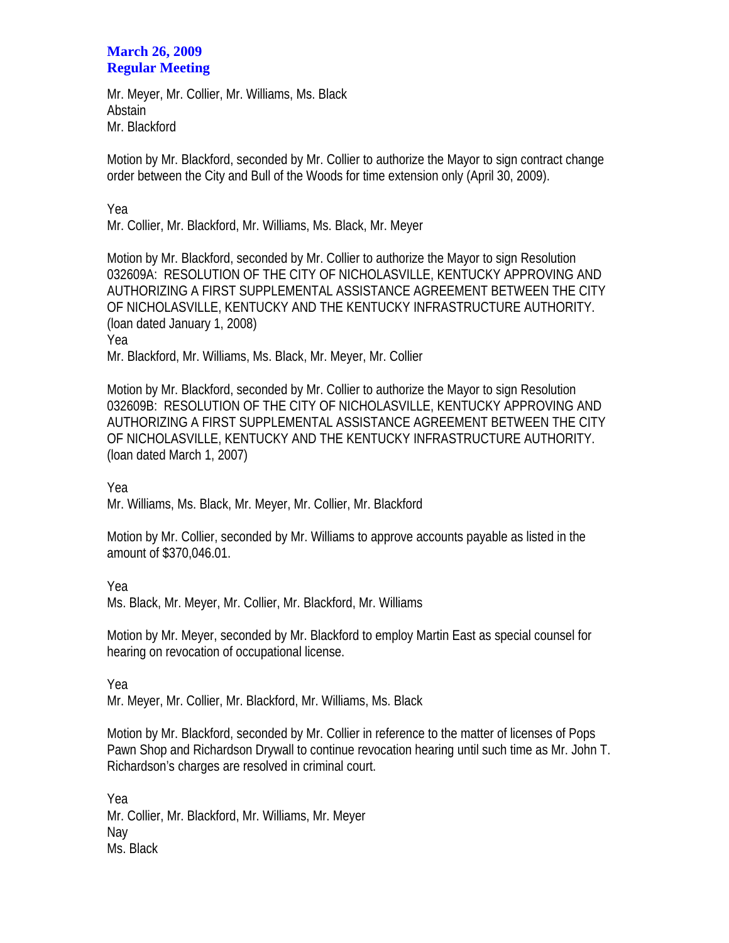## **March 26, 2009 Regular Meeting**

Mr. Meyer, Mr. Collier, Mr. Williams, Ms. Black **Abstain** Mr. Blackford

Motion by Mr. Blackford, seconded by Mr. Collier to authorize the Mayor to sign contract change order between the City and Bull of the Woods for time extension only (April 30, 2009).

Yea

Mr. Collier, Mr. Blackford, Mr. Williams, Ms. Black, Mr. Meyer

Motion by Mr. Blackford, seconded by Mr. Collier to authorize the Mayor to sign Resolution 032609A: RESOLUTION OF THE CITY OF NICHOLASVILLE, KENTUCKY APPROVING AND AUTHORIZING A FIRST SUPPLEMENTAL ASSISTANCE AGREEMENT BETWEEN THE CITY OF NICHOLASVILLE, KENTUCKY AND THE KENTUCKY INFRASTRUCTURE AUTHORITY. (loan dated January 1, 2008) Yea

Mr. Blackford, Mr. Williams, Ms. Black, Mr. Meyer, Mr. Collier

Motion by Mr. Blackford, seconded by Mr. Collier to authorize the Mayor to sign Resolution 032609B: RESOLUTION OF THE CITY OF NICHOLASVILLE, KENTUCKY APPROVING AND AUTHORIZING A FIRST SUPPLEMENTAL ASSISTANCE AGREEMENT BETWEEN THE CITY OF NICHOLASVILLE, KENTUCKY AND THE KENTUCKY INFRASTRUCTURE AUTHORITY. (loan dated March 1, 2007)

Yea

Mr. Williams, Ms. Black, Mr. Meyer, Mr. Collier, Mr. Blackford

Motion by Mr. Collier, seconded by Mr. Williams to approve accounts payable as listed in the amount of \$370,046.01.

Yea

Ms. Black, Mr. Meyer, Mr. Collier, Mr. Blackford, Mr. Williams

Motion by Mr. Meyer, seconded by Mr. Blackford to employ Martin East as special counsel for hearing on revocation of occupational license.

Yea

Mr. Meyer, Mr. Collier, Mr. Blackford, Mr. Williams, Ms. Black

Motion by Mr. Blackford, seconded by Mr. Collier in reference to the matter of licenses of Pops Pawn Shop and Richardson Drywall to continue revocation hearing until such time as Mr. John T. Richardson's charges are resolved in criminal court.

Yea Mr. Collier, Mr. Blackford, Mr. Williams, Mr. Meyer Nay Ms. Black